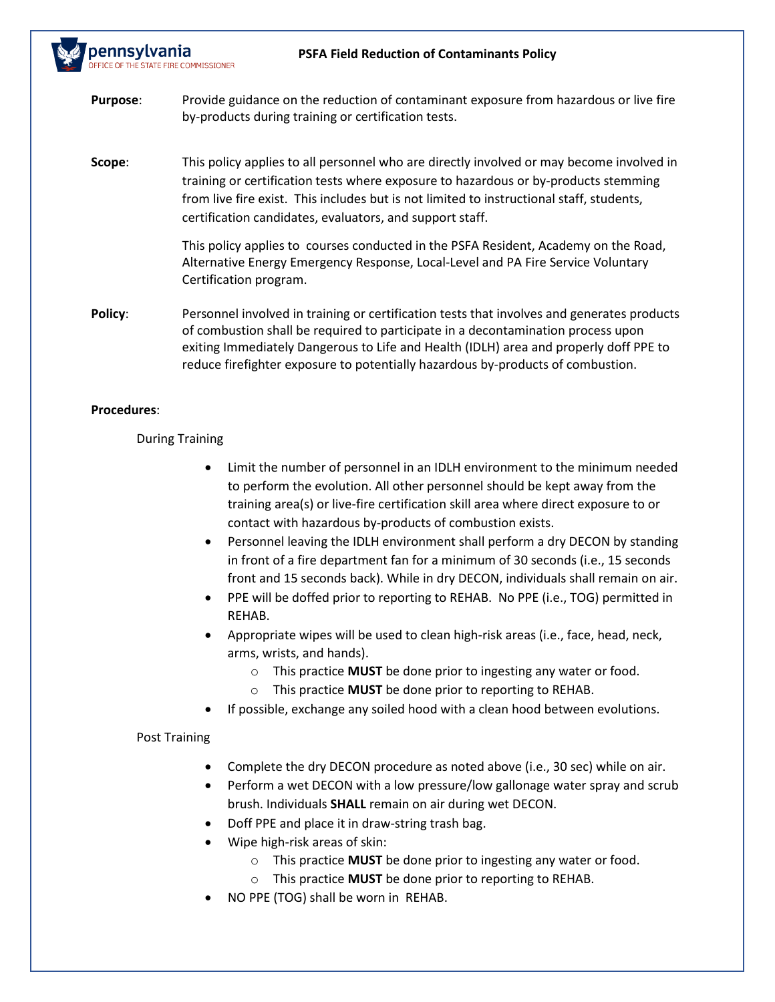

# **Procedures**:

### During Training

- Limit the number of personnel in an IDLH environment to the minimum needed to perform the evolution. All other personnel should be kept away from the training area(s) or live-fire certification skill area where direct exposure to or contact with hazardous by-products of combustion exists.
- Personnel leaving the IDLH environment shall perform a dry DECON by standing in front of a fire department fan for a minimum of 30 seconds (i.e., 15 seconds front and 15 seconds back). While in dry DECON, individuals shall remain on air.
- PPE will be doffed prior to reporting to REHAB. No PPE (i.e., TOG) permitted in REHAB.
- Appropriate wipes will be used to clean high-risk areas (i.e., face, head, neck, arms, wrists, and hands).
	- o This practice **MUST** be done prior to ingesting any water or food.
	- o This practice **MUST** be done prior to reporting to REHAB.
- If possible, exchange any soiled hood with a clean hood between evolutions.

#### Post Training

- Complete the dry DECON procedure as noted above (i.e., 30 sec) while on air.
- Perform a wet DECON with a low pressure/low gallonage water spray and scrub brush. Individuals **SHALL** remain on air during wet DECON.
- Doff PPE and place it in draw-string trash bag.
- Wipe high-risk areas of skin:
	- o This practice **MUST** be done prior to ingesting any water or food.
	- o This practice **MUST** be done prior to reporting to REHAB.
- NO PPE (TOG) shall be worn in REHAB.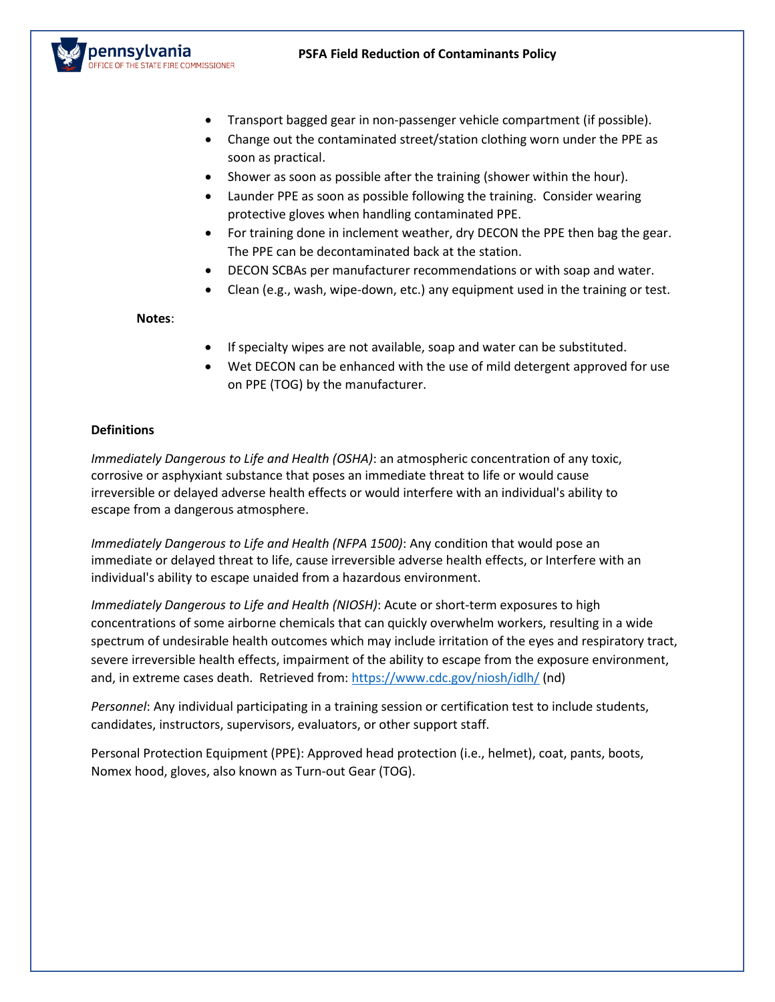

- Transport bagged gear in non-passenger vehicle compartment (if possible).
- Change out the contaminated street/station clothing worn under the PPE as soon as practical.
- Shower as soon as possible after the training (shower within the hour).
- Launder PPE as soon as possible following the training. Consider wearing protective gloves when handling contaminated PPE.
- For training done in inclement weather, dry DECON the PPE then bag the gear. The PPE can be decontaminated back at the station.
- DECON SCBAs per manufacturer recommendations or with soap and water.
- Clean (e.g., wash, wipe-down, etc.) any equipment used in the training or test.

### **Notes**:

- If specialty wipes are not available, soap and water can be substituted.
- Wet DECON can be enhanced with the use of mild detergent approved for use on PPE (TOG) by the manufacturer.

# **Definitions**

*Immediately Dangerous to Life and Health (OSHA)*: an atmospheric concentration of any toxic, corrosive or asphyxiant substance that poses an immediate threat to life or would cause irreversible or delayed adverse health effects or would interfere with an individual's ability to escape from a dangerous atmosphere.

*Immediately Dangerous to Life and Health (NFPA 1500)*: Any condition that would pose an immediate or delayed threat to life, cause irreversible adverse health effects, or Interfere with an individual's ability to escape unaided from a hazardous environment.

*Immediately Dangerous to Life and Health (NIOSH)*: Acute or short-term exposures to high concentrations of some airborne chemicals that can quickly overwhelm workers, resulting in a wide spectrum of undesirable health outcomes which may include irritation of the eyes and respiratory tract, severe irreversible health effects, impairment of the ability to escape from the exposure environment, and, in extreme cases death. Retrieved from:<https://www.cdc.gov/niosh/idlh/> (nd)

*Personnel*: Any individual participating in a training session or certification test to include students, candidates, instructors, supervisors, evaluators, or other support staff.

Personal Protection Equipment (PPE): Approved head protection (i.e., helmet), coat, pants, boots, Nomex hood, gloves, also known as Turn-out Gear (TOG).